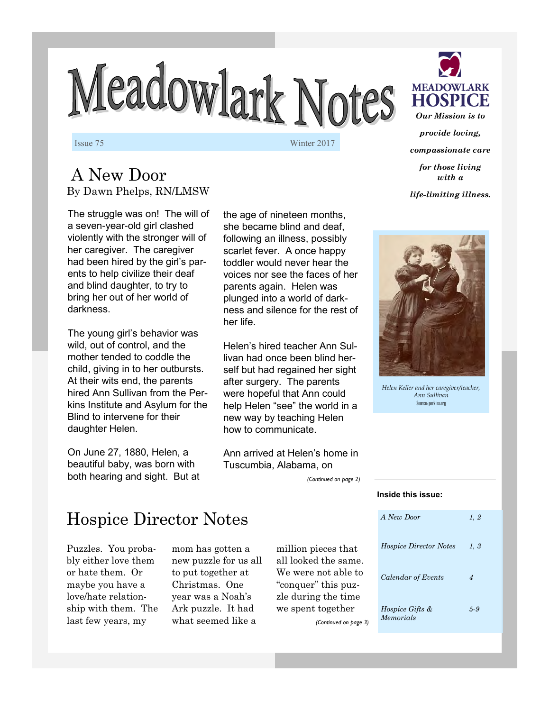# Meadowlark Notes

Issue 75 Winter 2017

### A New Door By Dawn Phelps, RN/LMSW

The struggle was on! The will of a seven-year-old girl clashed violently with the stronger will of her caregiver. The caregiver had been hired by the girl's parents to help civilize their deaf and blind daughter, to try to bring her out of her world of darkness.

The young girl's behavior was wild, out of control, and the mother tended to coddle the child, giving in to her outbursts. At their wits end, the parents hired Ann Sullivan from the Perkins Institute and Asylum for the Blind to intervene for their daughter Helen.

On June 27, 1880, Helen, a beautiful baby, was born with both hearing and sight. But at the age of nineteen months, she became blind and deaf, following an illness, possibly scarlet fever. A once happy toddler would never hear the voices nor see the faces of her parents again. Helen was plunged into a world of darkness and silence for the rest of her life.

Helen's hired teacher Ann Sullivan had once been blind herself but had regained her sight after surgery. The parents were hopeful that Ann could help Helen "see" the world in a new way by teaching Helen how to communicate.

Ann arrived at Helen's home in Tuscumbia, Alabama, on

*(Continued on page 2)* 



*provide loving, compassionate care for those living with a* 

*life-limiting illness.*



*Helen Keller and her caregiver/teacher, Ann Sullivan*  Source: perkins.org

## Hospice Director Notes

Puzzles. You probably either love them or hate them. Or maybe you have a love/hate relationship with them. The last few years, my

mom has gotten a new puzzle for us all to put together at Christmas. One year was a Noah's Ark puzzle. It had what seemed like a

million pieces that all looked the same. We were not able to "conquer" this puzzle during the time we spent together *(Continued on page 3)* 

## *A New Door 1, 2 Hospice Director Notes 1, 3 Calendar of Events 4 Hospice Gifts & Memorials 5-9*

**Inside this issue:**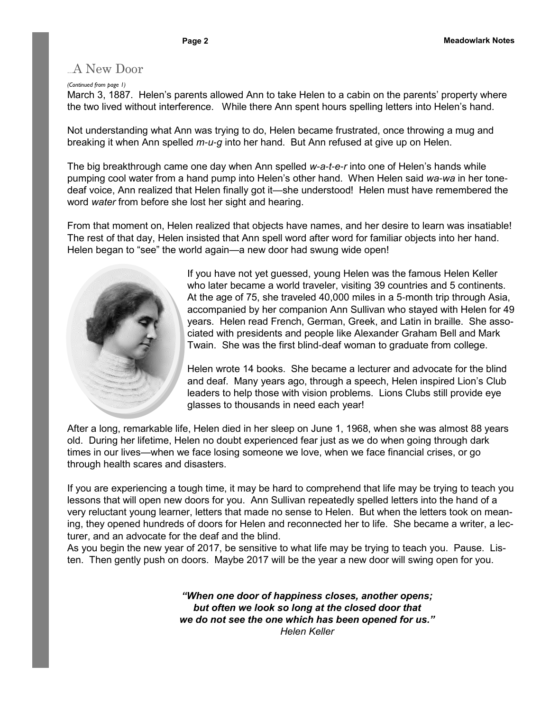#### A New Door

#### *(Continued from page 1)*

March 3, 1887. Helen's parents allowed Ann to take Helen to a cabin on the parents' property where the two lived without interference. While there Ann spent hours spelling letters into Helen's hand.

Not understanding what Ann was trying to do, Helen became frustrated, once throwing a mug and breaking it when Ann spelled *m-u-g* into her hand. But Ann refused at give up on Helen.

The big breakthrough came one day when Ann spelled *w-a-t-e-r* into one of Helen's hands while pumping cool water from a hand pump into Helen's other hand. When Helen said *wa-wa* in her tonedeaf voice, Ann realized that Helen finally got it—she understood! Helen must have remembered the word *water* from before she lost her sight and hearing.

From that moment on, Helen realized that objects have names, and her desire to learn was insatiable! The rest of that day, Helen insisted that Ann spell word after word for familiar objects into her hand. Helen began to "see" the world again—a new door had swung wide open!



If you have not yet guessed, young Helen was the famous Helen Keller who later became a world traveler, visiting 39 countries and 5 continents. At the age of 75, she traveled 40,000 miles in a 5-month trip through Asia, accompanied by her companion Ann Sullivan who stayed with Helen for 49 years. Helen read French, German, Greek, and Latin in braille. She associated with presidents and people like Alexander Graham Bell and Mark Twain. She was the first blind-deaf woman to graduate from college.

Helen wrote 14 books. She became a lecturer and advocate for the blind and deaf. Many years ago, through a speech, Helen inspired Lion's Club leaders to help those with vision problems. Lions Clubs still provide eye glasses to thousands in need each year!

After a long, remarkable life, Helen died in her sleep on June 1, 1968, when she was almost 88 years old. During her lifetime, Helen no doubt experienced fear just as we do when going through dark times in our lives—when we face losing someone we love, when we face financial crises, or go through health scares and disasters.

If you are experiencing a tough time, it may be hard to comprehend that life may be trying to teach you lessons that will open new doors for you. Ann Sullivan repeatedly spelled letters into the hand of a very reluctant young learner, letters that made no sense to Helen. But when the letters took on meaning, they opened hundreds of doors for Helen and reconnected her to life. She became a writer, a lecturer, and an advocate for the deaf and the blind.

As you begin the new year of 2017, be sensitive to what life may be trying to teach you. Pause. Listen. Then gently push on doors. Maybe 2017 will be the year a new door will swing open for you.

> *"When one door of happiness closes, another opens; but often we look so long at the closed door that we do not see the one which has been opened for us." Helen Keller*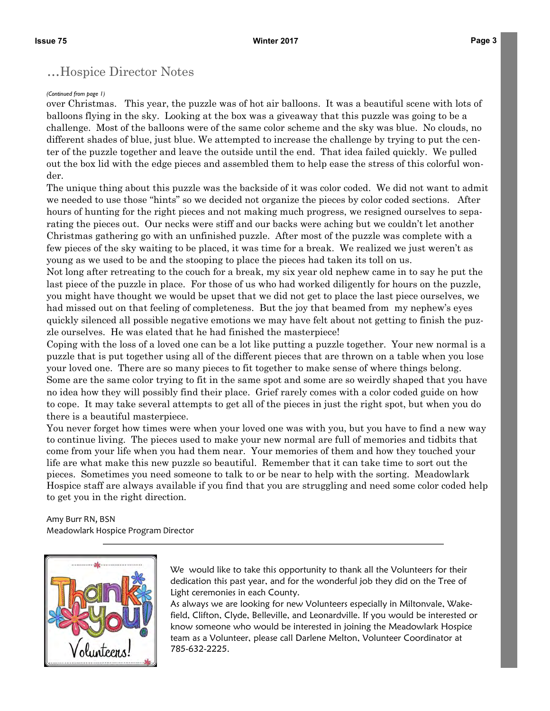#### ...Hospice Director Notes

#### *(Continued from page 1)*

over Christmas. This year, the puzzle was of hot air balloons. It was a beautiful scene with lots of balloons flying in the sky. Looking at the box was a giveaway that this puzzle was going to be a challenge. Most of the balloons were of the same color scheme and the sky was blue. No clouds, no different shades of blue, just blue. We attempted to increase the challenge by trying to put the center of the puzzle together and leave the outside until the end. That idea failed quickly. We pulled out the box lid with the edge pieces and assembled them to help ease the stress of this colorful wonder.

The unique thing about this puzzle was the backside of it was color coded. We did not want to admit we needed to use those "hints" so we decided not organize the pieces by color coded sections. After hours of hunting for the right pieces and not making much progress, we resigned ourselves to separating the pieces out. Our necks were stiff and our backs were aching but we couldn't let another Christmas gathering go with an unfinished puzzle. After most of the puzzle was complete with a few pieces of the sky waiting to be placed, it was time for a break. We realized we just weren't as young as we used to be and the stooping to place the pieces had taken its toll on us.

Not long after retreating to the couch for a break, my six year old nephew came in to say he put the last piece of the puzzle in place. For those of us who had worked diligently for hours on the puzzle, you might have thought we would be upset that we did not get to place the last piece ourselves, we had missed out on that feeling of completeness. But the joy that beamed from my nephew's eyes quickly silenced all possible negative emotions we may have felt about not getting to finish the puzzle ourselves. He was elated that he had finished the masterpiece!

Coping with the loss of a loved one can be a lot like putting a puzzle together. Your new normal is a puzzle that is put together using all of the different pieces that are thrown on a table when you lose your loved one. There are so many pieces to fit together to make sense of where things belong. Some are the same color trying to fit in the same spot and some are so weirdly shaped that you have no idea how they will possibly find their place. Grief rarely comes with a color coded guide on how to cope. It may take several attempts to get all of the pieces in just the right spot, but when you do there is a beautiful masterpiece.

You never forget how times were when your loved one was with you, but you have to find a new way to continue living. The pieces used to make your new normal are full of memories and tidbits that come from your life when you had them near. Your memories of them and how they touched your life are what make this new puzzle so beautiful. Remember that it can take time to sort out the pieces. Sometimes you need someone to talk to or be near to help with the sorting. Meadowlark Hospice staff are always available if you find that you are struggling and need some color coded help to get you in the right direction.

Amy Burr RN, BSN Meadowlark Hospice Program Director



We would like to take this opportunity to thank all the Volunteers for their dedication this past year, and for the wonderful job they did on the Tree of Light ceremonies in each County.

As always we are looking for new Volunteers especially in Miltonvale, Wakefield, Clifton, Clyde, Belleville, and Leonardville. If you would be interested or know someone who would be interested in joining the Meadowlark Hospice team as a Volunteer, please call Darlene Melton, Volunteer Coordinator at 785-632-2225.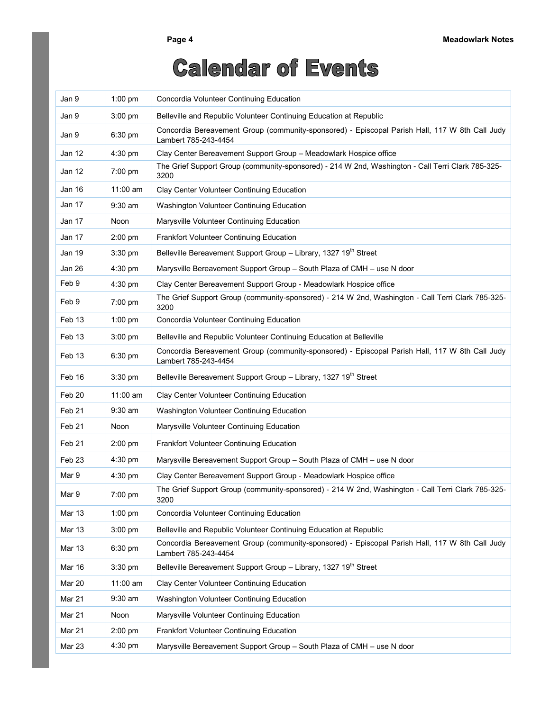## **Calendar of Events**

| Jan 9             | $1:00$ pm         | Concordia Volunteer Continuing Education                                                                               |
|-------------------|-------------------|------------------------------------------------------------------------------------------------------------------------|
| Jan 9             | $3:00$ pm         | Belleville and Republic Volunteer Continuing Education at Republic                                                     |
| Jan 9             | $6:30$ pm         | Concordia Bereavement Group (community-sponsored) - Episcopal Parish Hall, 117 W 8th Call Judy<br>Lambert 785-243-4454 |
| Jan 12            | $4:30$ pm         | Clay Center Bereavement Support Group - Meadowlark Hospice office                                                      |
| Jan 12            | $7:00 \text{ pm}$ | The Grief Support Group (community-sponsored) - 214 W 2nd, Washington - Call Terri Clark 785-325-<br>3200              |
| Jan 16            | 11:00 am          | Clay Center Volunteer Continuing Education                                                                             |
| Jan 17            | $9:30$ am         | Washington Volunteer Continuing Education                                                                              |
| Jan 17            | Noon              | Marysville Volunteer Continuing Education                                                                              |
| Jan 17            | $2:00$ pm         | Frankfort Volunteer Continuing Education                                                                               |
| Jan 19            | 3:30 pm           | Belleville Bereavement Support Group - Library, 1327 19 <sup>th</sup> Street                                           |
| Jan 26            | 4:30 pm           | Marysville Bereavement Support Group - South Plaza of CMH - use N door                                                 |
| Feb 9             | 4:30 pm           | Clay Center Bereavement Support Group - Meadowlark Hospice office                                                      |
| Feb 9             | 7:00 pm           | The Grief Support Group (community-sponsored) - 214 W 2nd, Washington - Call Terri Clark 785-325-<br>3200              |
| Feb 13            | $1:00$ pm         | Concordia Volunteer Continuing Education                                                                               |
| Feb 13            | $3:00$ pm         | Belleville and Republic Volunteer Continuing Education at Belleville                                                   |
| Feb 13            | $6:30$ pm         | Concordia Bereavement Group (community-sponsored) - Episcopal Parish Hall, 117 W 8th Call Judy<br>Lambert 785-243-4454 |
| Feb 16            | $3:30$ pm         | Belleville Bereavement Support Group - Library, 1327 19 <sup>th</sup> Street                                           |
| Feb 20            | $11:00$ am        | Clay Center Volunteer Continuing Education                                                                             |
| Feb 21            | $9:30$ am         | Washington Volunteer Continuing Education                                                                              |
| Feb 21            | <b>Noon</b>       | Marysville Volunteer Continuing Education                                                                              |
| Feb 21            | $2:00$ pm         | Frankfort Volunteer Continuing Education                                                                               |
| Feb <sub>23</sub> | $4:30$ pm         | Marysville Bereavement Support Group - South Plaza of CMH - use N door                                                 |
| Mar 9             | 4:30 pm           | Clay Center Bereavement Support Group - Meadowlark Hospice office                                                      |
| Mar 9             | 7:00 pm           | The Grief Support Group (community-sponsored) - 214 W 2nd, Washington - Call Terri Clark 785-325-<br>3200              |
| <b>Mar 13</b>     | $1:00$ pm         | Concordia Volunteer Continuing Education                                                                               |
| <b>Mar 13</b>     | $3:00$ pm         | Belleville and Republic Volunteer Continuing Education at Republic                                                     |
| <b>Mar 13</b>     | 6:30 pm           | Concordia Bereavement Group (community-sponsored) - Episcopal Parish Hall, 117 W 8th Call Judy<br>Lambert 785-243-4454 |
| Mar 16            | $3:30$ pm         | Belleville Bereavement Support Group - Library, 1327 19 <sup>th</sup> Street                                           |
| Mar 20            | 11:00 am          | Clay Center Volunteer Continuing Education                                                                             |
| Mar 21            | $9:30$ am         | Washington Volunteer Continuing Education                                                                              |
| Mar 21            | Noon              | Marysville Volunteer Continuing Education                                                                              |
| Mar 21            | $2:00$ pm         | Frankfort Volunteer Continuing Education                                                                               |
| Mar 23            | 4:30 pm           | Marysville Bereavement Support Group - South Plaza of CMH - use N door                                                 |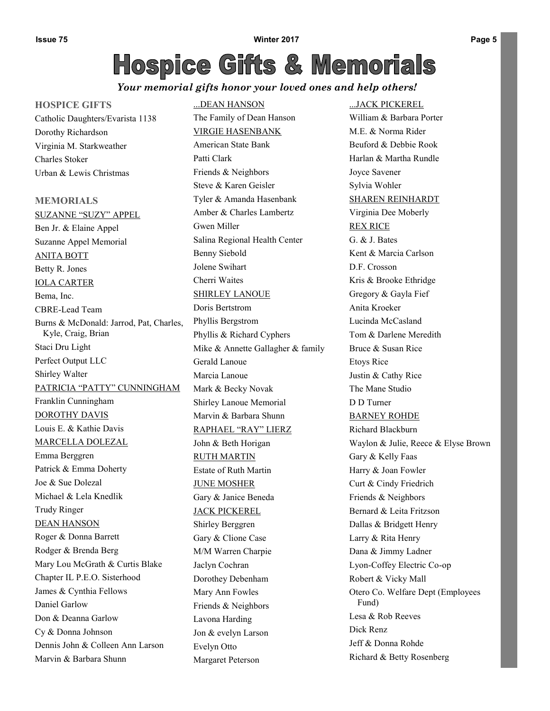#### *Your memorial gifts honor your loved ones and help others!*

#### **HOSPICE GIFTS**

Catholic Daughters/Evarista 1138 Dorothy Richardson Virginia M. Starkweather Charles Stoker Urban & Lewis Christmas

**MEMORIALS** SUZANNE "SUZY" APPEL Ben Jr. & Elaine Appel Suzanne Appel Memorial ANITA BOTT Betty R. Jones IOLA CARTER Bema, Inc. CBRE-Lead Team Burns & McDonald: Jarrod, Pat, Charles, Kyle, Craig, Brian Staci Dru Light Perfect Output LLC Shirley Walter PATRICIA "PATTY" CUNNINGHAM Franklin Cunningham DOROTHY DAVIS Louis E. & Kathie Davis MARCELLA DOLEZAL Emma Berggren Patrick & Emma Doherty Joe & Sue Dolezal Michael & Lela Knedlik Trudy Ringer DEAN HANSON Roger & Donna Barrett Rodger & Brenda Berg Mary Lou McGrath & Curtis Blake Chapter IL P.E.O. Sisterhood James & Cynthia Fellows Daniel Garlow Don & Deanna Garlow Cy & Donna Johnson Dennis John & Colleen Ann Larson Marvin & Barbara Shunn

## ...DEAN HANSON

The Family of Dean Hanson VIRGIE HASENBANK American State Bank Patti Clark Friends & Neighbors Steve & Karen Geisler Tyler & Amanda Hasenbank Amber & Charles Lambertz Gwen Miller Salina Regional Health Center Benny Siebold Jolene Swihart Cherri Waites SHIRLEY LANOUE Doris Bertstrom Phyllis Bergstrom Phyllis & Richard Cyphers Mike & Annette Gallagher & family Gerald Lanoue Marcia Lanoue Mark & Becky Novak Shirley Lanoue Memorial Marvin & Barbara Shunn RAPHAEL "RAY" LIERZ John & Beth Horigan RUTH MARTIN Estate of Ruth Martin JUNE MOSHER Gary & Janice Beneda JACK PICKEREL Shirley Berggren Gary & Clione Case M/M Warren Charpie Jaclyn Cochran Dorothey Debenham Mary Ann Fowles Friends & Neighbors Lavona Harding Jon & evelyn Larson Evelyn Otto Margaret Peterson

#### ...JACK PICKEREL

William & Barbara Porter M.E. & Norma Rider Beuford & Debbie Rook Harlan & Martha Rundle Joyce Savener Sylvia Wohler SHAREN REINHARDT Virginia Dee Moberly REX RICE G. & J. Bates Kent & Marcia Carlson D.F. Crosson Kris & Brooke Ethridge Gregory & Gayla Fief Anita Kroeker Lucinda McCasland Tom & Darlene Meredith Bruce & Susan Rice Etoys Rice Justin & Cathy Rice The Mane Studio D D Turner BARNEY ROHDE Richard Blackburn Waylon & Julie, Reece & Elyse Brown Gary & Kelly Faas Harry & Joan Fowler Curt & Cindy Friedrich Friends & Neighbors Bernard & Leita Fritzson Dallas & Bridgett Henry Larry & Rita Henry Dana & Jimmy Ladner Lyon-Coffey Electric Co-op Robert & Vicky Mall Otero Co. Welfare Dept (Employees Fund) Lesa & Rob Reeves Dick Renz Jeff & Donna Rohde Richard & Betty Rosenberg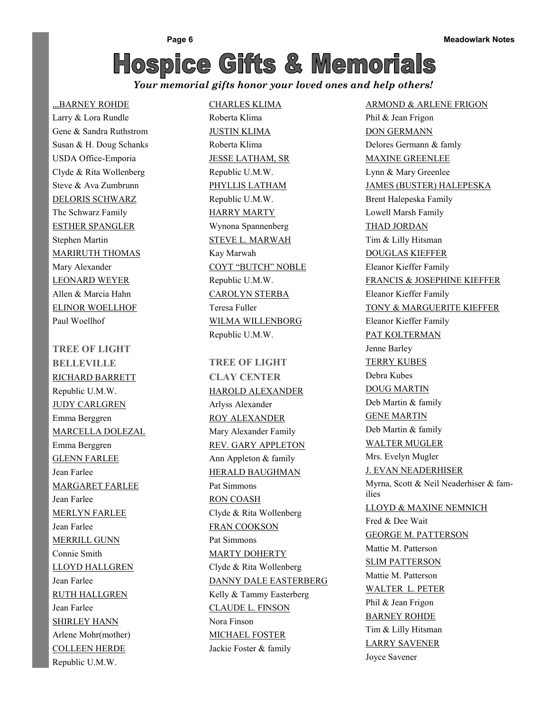*Your memorial gifts honor your loved ones and help others!* 

#### ,,,BARNEY ROHDE

Larry & Lora Rundle Gene & Sandra Ruthstrom Susan & H. Doug Schanks USDA Office-Emporia Clyde & Rita Wollenberg Steve & Ava Zumbrunn DELORIS SCHWARZ The Schwarz Family ESTHER SPANGLER Stephen Martin MARIRUTH THOMAS Mary Alexander LEONARD WEYER Allen & Marcia Hahn ELINOR WOELLHOF Paul Woellhof

**TREE OF LIGHT BELLEVILLE** RICHARD BARRETT Republic U.M.W. JUDY CARLGREN Emma Berggren MARCELLA DOLEZAL Emma Berggren GLENN FARLEE Jean Farlee MARGARET FARLEE Jean Farlee MERLYN FARLEE Jean Farlee MERRILL GUNN Connie Smith LLOYD HALLGREN Jean Farlee RUTH HALLGREN Jean Farlee SHIRLEY HANN Arlene Mohr(mother) COLLEEN HERDE Republic U.M.W.

#### CHARLES KLIMA

Roberta Klima JUSTIN KLIMA Roberta Klima JESSE LATHAM, SR Republic U.M.W. PHYLLIS LATHAM Republic U.M.W. HARRY MARTY Wynona Spannenberg STEVE L. MARWAH Kay Marwah COYT "BUTCH" NOBLE Republic U.M.W. CAROLYN STERBA Teresa Fuller WILMA WILLENBORG Republic U.M.W.

**TREE OF LIGHT CLAY CENTER** HAROLD ALEXANDER Arlyss Alexander ROY ALEXANDER Mary Alexander Family REV. GARY APPLETON Ann Appleton & family HERALD BAUGHMAN Pat Simmons RON COASH Clyde & Rita Wollenberg FRAN COOKSON Pat Simmons MARTY DOHERTY Clyde & Rita Wollenberg DANNY DALE EASTERBERG Kelly & Tammy Easterberg CLAUDE L. FINSON Nora Finson MICHAEL FOSTER Jackie Foster & family

ARMOND & ARLENE FRIGON Phil & Jean Frigon DON GERMANN Delores Germann & famly MAXINE GREENLEE Lynn & Mary Greenlee JAMES (BUSTER) HALEPESKA Brent Halepeska Family Lowell Marsh Family THAD JORDAN Tim & Lilly Hitsman DOUGLAS KIEFFER Eleanor Kieffer Family FRANCIS & JOSEPHINE KIEFFER Eleanor Kieffer Family TONY & MARGUERITE KIEFFER Eleanor Kieffer Family PAT KOLTERMAN Jenne Barley TERRY KUBES Debra Kubes DOUG MARTIN Deb Martin & family GENE MARTIN Deb Martin & family WALTER MUGLER Mrs. Evelyn Mugler J. EVAN NEADERHISER Myrna, Scott & Neil Neaderhiser & families LLOYD & MAXINE NEMNICH Fred & Dee Wait GEORGE M. PATTERSON Mattie M. Patterson SLIM PATTERSON Mattie M. Patterson WALTER L. PETER Phil & Jean Frigon BARNEY ROHDE Tim & Lilly Hitsman LARRY SAVENER Joyce Savener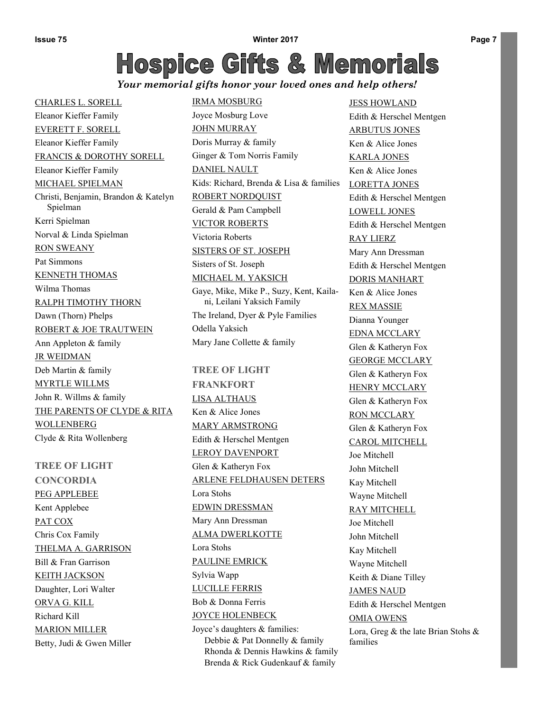#### *Your memorial gifts honor your loved ones and help others!*

CHARLES L. SORELL Eleanor Kieffer Family EVERETT F. SORELL Eleanor Kieffer Family FRANCIS & DOROTHY SORELL Eleanor Kieffer Family MICHAEL SPIELMAN Christi, Benjamin, Brandon & Katelyn Spielman Kerri Spielman Norval & Linda Spielman RON SWEANY Pat Simmons KENNETH THOMAS Wilma Thomas RALPH TIMOTHY THORN Dawn (Thorn) Phelps ROBERT & JOE TRAUTWEIN Ann Appleton & family JR WEIDMAN Deb Martin & family MYRTLE WILLMS John R. Willms & family THE PARENTS OF CLYDE & RITA **WOLLENBERG** Clyde & Rita Wollenberg

**TREE OF LIGHT CONCORDIA** PEG APPLEBEE Kent Applebee PAT COX Chris Cox Family THELMA A. GARRISON Bill & Fran Garrison KEITH JACKSON Daughter, Lori Walter ORVA G. KILL Richard Kill MARION MILLER Betty, Judi & Gwen Miller IRMA MOSBURG Joyce Mosburg Love JOHN MURRAY Doris Murray & family Ginger & Tom Norris Family DANIEL NAULT Kids: Richard, Brenda & Lisa & families ROBERT NORDQUIST Gerald & Pam Campbell VICTOR ROBERTS Victoria Roberts SISTERS OF ST. JOSEPH Sisters of St. Joseph MICHAEL M. YAKSICH Gaye, Mike, Mike P., Suzy, Kent, Kailani, Leilani Yaksich Family The Ireland, Dyer & Pyle Families Odella Yaksich Mary Jane Collette & family

#### **TREE OF LIGHT**

**FRANKFORT** LISA ALTHAUS Ken & Alice Jones MARY ARMSTRONG Edith & Herschel Mentgen LEROY DAVENPORT Glen & Katheryn Fox ARLENE FELDHAUSEN DETERS Lora Stohs EDWIN DRESSMAN Mary Ann Dressman ALMA DWERLKOTTE Lora Stohs PAULINE EMRICK Sylvia Wapp LUCILLE FERRIS Bob & Donna Ferris JOYCE HOLENBECK Joyce's daughters & families: Debbie & Pat Donnelly & family Rhonda & Dennis Hawkins & family

Brenda & Rick Gudenkauf & family

JESS HOWLAND Edith & Herschel Mentgen ARBUTUS JONES Ken & Alice Jones KARLA JONES Ken & Alice Jones LORETTA JONES Edith & Herschel Mentgen LOWELL JONES Edith & Herschel Mentgen RAY LIERZ Mary Ann Dressman Edith & Herschel Mentgen DORIS MANHART Ken & Alice Jones REX MASSIE Dianna Younger EDNA MCCLARY Glen & Katheryn Fox GEORGE MCCLARY Glen & Katheryn Fox HENRY MCCLARY Glen & Katheryn Fox RON MCCLARY Glen & Katheryn Fox CAROL MITCHELL Joe Mitchell John Mitchell Kay Mitchell Wayne Mitchell RAY MITCHELL Joe Mitchell John Mitchell Kay Mitchell Wayne Mitchell Keith & Diane Tilley JAMES NAUD Edith & Herschel Mentgen OMIA OWENS Lora, Greg & the late Brian Stohs & families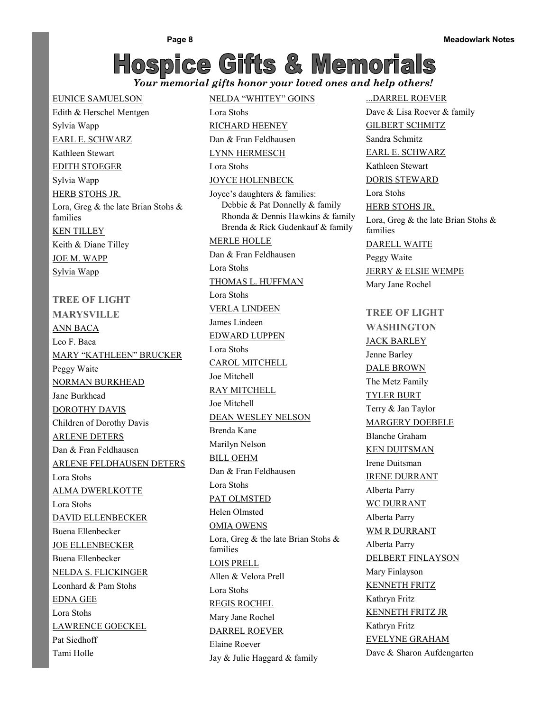NELDA "WHITEY" GOINS

RICHARD HEENEY

Lora Stohs

#### *Your memorial gifts honor your loved ones and help others!*

EUNICE SAMUELSON Edith & Herschel Mentgen Sylvia Wapp EARL E. SCHWARZ Kathleen Stewart EDITH STOEGER Sylvia Wapp HERB STOHS JR. Lora, Greg & the late Brian Stohs & families KEN TILLEY Keith & Diane Tilley JOE M. WAPP Sylvia Wapp **TREE OF LIGHT MARYSVILLE** ANN BACA Leo F. Baca MARY "KATHLEEN" BRUCKER Peggy Waite NORMAN BURKHEAD Jane Burkhead DOROTHY DAVIS Children of Dorothy Davis ARLENE DETERS Dan & Fran Feldhausen ARLENE FELDHAUSEN DETERS Lora Stohs ALMA DWERLKOTTE Lora Stohs DAVID ELLENBECKER Buena Ellenbecker JOE ELLENBECKER Buena Ellenbecker NELDA S. FLICKINGER Leonhard & Pam Stohs EDNA GEE Lora Stohs LAWRENCE GOECKEL Pat Siedhoff Tami Holle

Dan & Fran Feldhausen LYNN HERMESCH Lora Stohs JOYCE HOLENBECK Joyce's daughters & families: Debbie & Pat Donnelly & family Rhonda & Dennis Hawkins & family Brenda & Rick Gudenkauf & family MERLE HOLLE Dan & Fran Feldhausen Lora Stohs THOMAS L. HUFFMAN Lora Stohs VERLA LINDEEN James Lindeen EDWARD LUPPEN Lora Stohs CAROL MITCHELL Joe Mitchell RAY MITCHELL Joe Mitchell DEAN WESLEY NELSON Brenda Kane Marilyn Nelson BILL OEHM Dan & Fran Feldhausen Lora Stohs PAT OLMSTED Helen Olmsted OMIA OWENS Lora, Greg & the late Brian Stohs & families LOIS PRELL Allen & Velora Prell Lora Stohs REGIS ROCHEL Mary Jane Rochel DARREL ROEVER Elaine Roever Jay & Julie Haggard & family

...DARREL ROEVER Dave & Lisa Roever & family GILBERT SCHMITZ Sandra Schmitz EARL E. SCHWARZ Kathleen Stewart DORIS STEWARD Lora Stohs HERB STOHS JR. Lora, Greg & the late Brian Stohs & families DARELL WAITE Peggy Waite JERRY & ELSIE WEMPE Mary Jane Rochel **TREE OF LIGHT WASHINGTON** JACK BARLEY Jenne Barley DALE BROWN The Metz Family TYLER BURT Terry & Jan Taylor MARGERY DOEBELE Blanche Graham KEN DUITSMAN Irene Duitsman IRENE DURRANT Alberta Parry WC DURRANT Alberta Parry WM R DURRANT Alberta Parry DELBERT FINLAYSON Mary Finlayson KENNETH FRITZ Kathryn Fritz

KENNETH FRITZ JR

EVELYNE GRAHAM

Dave & Sharon Aufdengarten

Kathryn Fritz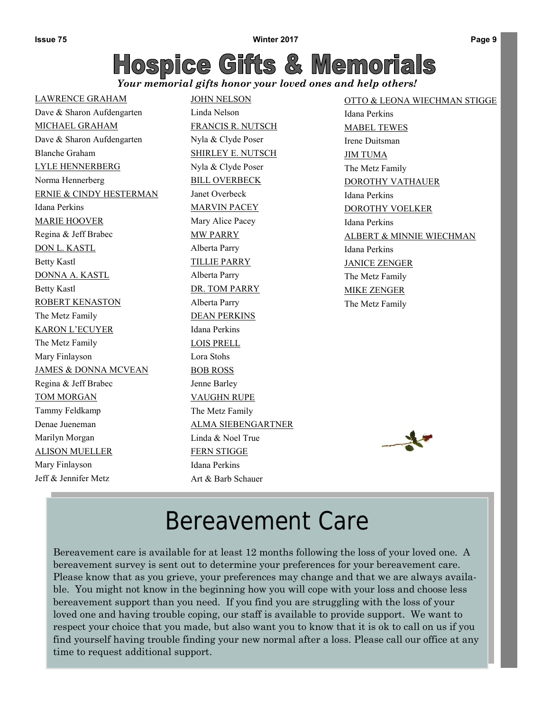*Your memorial gifts honor your loved ones and help others!* 

LAWRENCE GRAHAM Dave & Sharon Aufdengarten MICHAEL GRAHAM Dave & Sharon Aufdengarten Blanche Graham LYLE HENNERBERG Norma Hennerberg ERNIE & CINDY HESTERMAN Idana Perkins MARIE HOOVER Regina & Jeff Brabec DON L. KASTL Betty Kastl DONNA A. KASTL Betty Kastl ROBERT KENASTON The Metz Family KARON L'ECUYER The Metz Family Mary Finlayson JAMES & DONNA MCVEAN Regina & Jeff Brabec TOM MORGAN Tammy Feldkamp Denae Jueneman Marilyn Morgan ALISON MUELLER Mary Finlayson Jeff & Jennifer Metz

JOHN NELSON Linda Nelson FRANCIS R. NUTSCH Nyla & Clyde Poser SHIRLEY E. NUTSCH Nyla & Clyde Poser BILL OVERBECK Janet Overbeck MARVIN PACEY Mary Alice Pacey MW PARRY Alberta Parry TILLIE PARRY Alberta Parry DR. TOM PARRY Alberta Parry DEAN PERKINS Idana Perkins LOIS PRELL Lora Stohs BOB ROSS Jenne Barley VAUGHN RUPE The Metz Family ALMA SIEBENGARTNER Linda & Noel True FERN STIGGE Idana Perkins Art & Barb Schauer

OTTO & LEONA WIECHMAN STIGGE Idana Perkins MABEL TEWES Irene Duitsman JIM TUMA The Metz Family DOROTHY VATHAUER Idana Perkins DOROTHY VOELKER Idana Perkins ALBERT & MINNIE WIECHMAN Idana Perkins JANICE ZENGER The Metz Family MIKE ZENGER The Metz Family



## Bereavement Care

Bereavement care is available for at least 12 months following the loss of your loved one. A bereavement survey is sent out to determine your preferences for your bereavement care. Please know that as you grieve, your preferences may change and that we are always available. You might not know in the beginning how you will cope with your loss and choose less bereavement support than you need. If you find you are struggling with the loss of your loved one and having trouble coping, our staff is available to provide support. We want to respect your choice that you made, but also want you to know that it is ok to call on us if you find yourself having trouble finding your new normal after a loss. Please call our office at any time to request additional support.